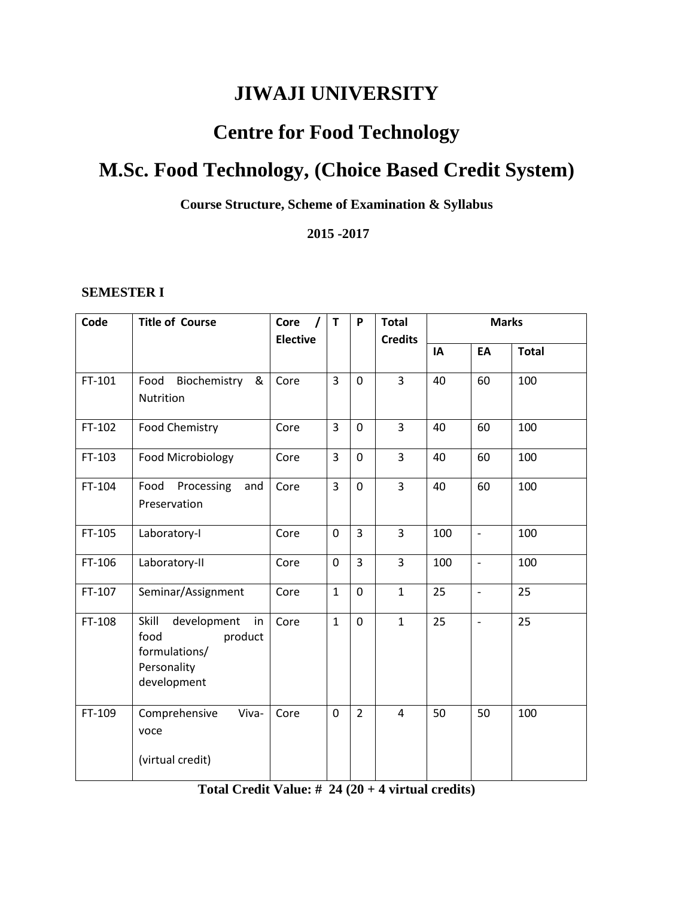# **JIWAJI UNIVERSITY**

# **Centre for Food Technology**

# **M.Sc. Food Technology, (Choice Based Credit System)**

**Course Structure, Scheme of Examination & Syllabus**

**2015 -2017**

#### **SEMESTER I**

| Code   | <b>Title of Course</b>                                                                       | Core            | T              | P              | <b>Total</b>   | <b>Marks</b> |                          |              |
|--------|----------------------------------------------------------------------------------------------|-----------------|----------------|----------------|----------------|--------------|--------------------------|--------------|
|        |                                                                                              | <b>Elective</b> |                |                | <b>Credits</b> |              |                          |              |
|        |                                                                                              |                 |                |                |                | IA           | EA                       | <b>Total</b> |
| FT-101 | Biochemistry<br>Food<br>&<br>Nutrition                                                       | Core            | $\overline{3}$ | $\mathbf{0}$   | $\overline{3}$ | 40           | 60                       | 100          |
| FT-102 | Food Chemistry                                                                               | Core            | 3              | 0              | $\overline{3}$ | 40           | 60                       | 100          |
| FT-103 | Food Microbiology                                                                            | Core            | $\overline{3}$ | $\mathbf 0$    | 3              | 40           | 60                       | 100          |
| FT-104 | Food Processing<br>and<br>Preservation                                                       | Core            | 3              | $\overline{0}$ | 3              | 40           | 60                       | 100          |
| FT-105 | Laboratory-I                                                                                 | Core            | $\overline{0}$ | 3              | $\overline{3}$ | 100          | $\overline{\phantom{a}}$ | 100          |
| FT-106 | Laboratory-II                                                                                | Core            | $\mathbf 0$    | 3              | 3              | 100          | $\overline{\phantom{a}}$ | 100          |
| FT-107 | Seminar/Assignment                                                                           | Core            | $\mathbf{1}$   | $\mathbf{0}$   | $\mathbf{1}$   | 25           | $\overline{\phantom{m}}$ | 25           |
| FT-108 | Skill<br>development<br>in<br>product<br>food<br>formulations/<br>Personality<br>development | Core            | $\mathbf{1}$   | $\Omega$       | $\mathbf{1}$   | 25           | $\overline{\phantom{a}}$ | 25           |
| FT-109 | Viva-<br>Comprehensive<br>voce<br>(virtual credit)                                           | Core            | $\mathbf 0$    | $\overline{2}$ | $\overline{4}$ | 50           | 50                       | 100          |

# **Total Credit Value: # 24 (20 + 4 virtual credits)**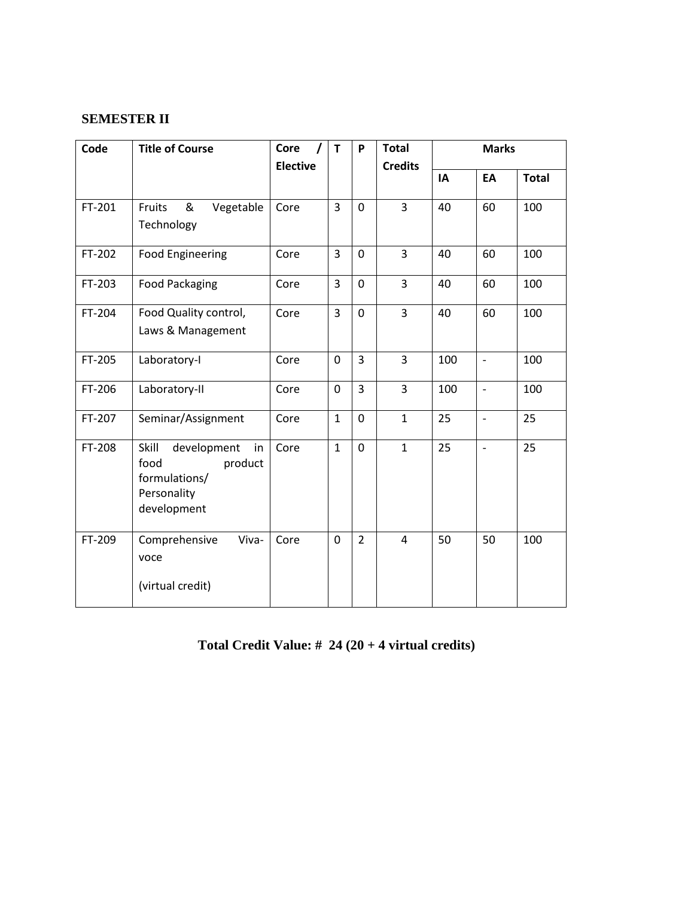# **SEMESTER II**

| Code   | <b>Title of Course</b>                                                                       | Core<br>T       |                | P              | <b>Total</b>   | <b>Marks</b> |                              |              |
|--------|----------------------------------------------------------------------------------------------|-----------------|----------------|----------------|----------------|--------------|------------------------------|--------------|
|        |                                                                                              | <b>Elective</b> |                |                | <b>Credits</b> |              |                              |              |
|        |                                                                                              |                 |                |                |                | IA           | EA                           | <b>Total</b> |
| FT-201 | &<br>Vegetable<br>Fruits<br>Technology                                                       | Core            | $\overline{3}$ | $\mathbf 0$    | $\overline{3}$ | 40           | 60                           | 100          |
| FT-202 | <b>Food Engineering</b>                                                                      | Core            | 3              | $\mathbf 0$    | 3              | 40           | 60                           | 100          |
| FT-203 | <b>Food Packaging</b>                                                                        | Core            | 3              | $\overline{0}$ | $\overline{3}$ | 40           | 60                           | 100          |
| FT-204 | Food Quality control,<br>Laws & Management                                                   | Core            | $\overline{3}$ | $\Omega$       | $\overline{3}$ | 40           | 60                           | 100          |
| FT-205 | Laboratory-I                                                                                 | Core            | $\mathbf 0$    | $\overline{3}$ | 3              | 100          | $\qquad \qquad \blacksquare$ | 100          |
| FT-206 | Laboratory-II                                                                                | Core            | $\mathbf 0$    | $\overline{3}$ | 3              | 100          | $\qquad \qquad \blacksquare$ | 100          |
| FT-207 | Seminar/Assignment                                                                           | Core            | $\mathbf{1}$   | $\mathbf 0$    | $\mathbf 1$    | 25           | $\overline{\phantom{0}}$     | 25           |
| FT-208 | Skill<br>development<br>in<br>food<br>product<br>formulations/<br>Personality<br>development | Core            | $\mathbf{1}$   | $\overline{0}$ | $\mathbf{1}$   | 25           | $\overline{\phantom{a}}$     | 25           |
| FT-209 | Comprehensive<br>Viva-<br>voce<br>(virtual credit)                                           | Core            | $\mathbf 0$    | $\overline{2}$ | $\overline{4}$ | 50           | 50                           | 100          |

# **Total Credit Value: # 24 (20 + 4 virtual credits)**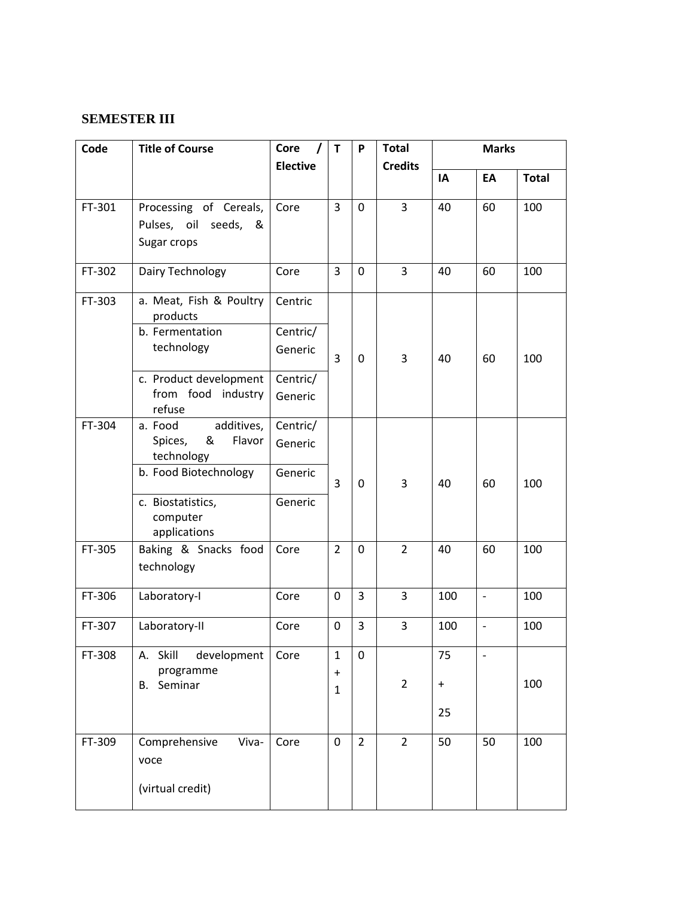## **SEMESTER III**

| Code   | <b>Title of Course</b>               | Core<br>$\prime$ | $\mathsf{T}$                     | P              | <b>Total</b>   | <b>Marks</b>     |                   |              |
|--------|--------------------------------------|------------------|----------------------------------|----------------|----------------|------------------|-------------------|--------------|
|        |                                      | <b>Elective</b>  |                                  |                | <b>Credits</b> |                  |                   |              |
|        |                                      |                  |                                  |                |                | IA               | EA                | <b>Total</b> |
| FT-301 | Processing of Cereals,               | Core             | $\overline{3}$                   | $\mathbf 0$    | 3              | 40               | 60                | 100          |
|        | Pulses, oil<br>seeds,<br>&           |                  |                                  |                |                |                  |                   |              |
|        | Sugar crops                          |                  |                                  |                |                |                  |                   |              |
| FT-302 | Dairy Technology                     | Core             | $\overline{3}$                   | $\mathbf 0$    | $\overline{3}$ | 40               | 60                | 100          |
|        |                                      |                  |                                  |                |                |                  |                   |              |
| FT-303 | a. Meat, Fish & Poultry<br>products  | Centric          |                                  |                |                |                  |                   |              |
|        | b. Fermentation                      | Centric/         |                                  |                |                |                  |                   |              |
|        | technology                           | Generic          | 3                                | $\mathbf 0$    | 3              | 40               | 60                | 100          |
|        | c. Product development               | Centric/         |                                  |                |                |                  |                   |              |
|        | from food industry<br>refuse         | Generic          |                                  |                |                |                  |                   |              |
| FT-304 | additives,<br>a. Food                | Centric/         |                                  |                |                |                  |                   |              |
|        | Spices,<br>&<br>Flavor<br>technology | Generic          |                                  |                |                |                  |                   |              |
|        | b. Food Biotechnology                | Generic          | 3                                | $\Omega$       | 3              | 40               | 60                | 100          |
|        | c. Biostatistics,                    | Generic          |                                  |                |                |                  |                   |              |
|        | computer<br>applications             |                  |                                  |                |                |                  |                   |              |
| FT-305 | Baking & Snacks food                 | Core             | $\overline{2}$                   | $\mathbf 0$    | $\overline{2}$ | 40               | 60                | 100          |
|        | technology                           |                  |                                  |                |                |                  |                   |              |
| FT-306 | Laboratory-I                         | Core             | $\mathbf 0$                      | 3              | 3              | 100              | $\qquad \qquad -$ | 100          |
| FT-307 | Laboratory-II                        | Core             | 0                                | 3              | 3              | 100              | $\qquad \qquad -$ | 100          |
| FT-308 | development<br>Skill<br>А.           | Core             | $\mathbf 1$                      | 0              |                | 75               |                   |              |
|        | programme                            |                  | $\begin{array}{c} + \end{array}$ |                | $\overline{2}$ |                  |                   | 100          |
|        | <b>B.</b> Seminar                    |                  | $\mathbf{1}$                     |                |                | $\boldsymbol{+}$ |                   |              |
|        |                                      |                  |                                  |                |                | 25               |                   |              |
| FT-309 | Comprehensive<br>Viva-<br>voce       | Core             | $\mathbf 0$                      | $\overline{2}$ | $\overline{2}$ | 50               | 50                | 100          |
|        | (virtual credit)                     |                  |                                  |                |                |                  |                   |              |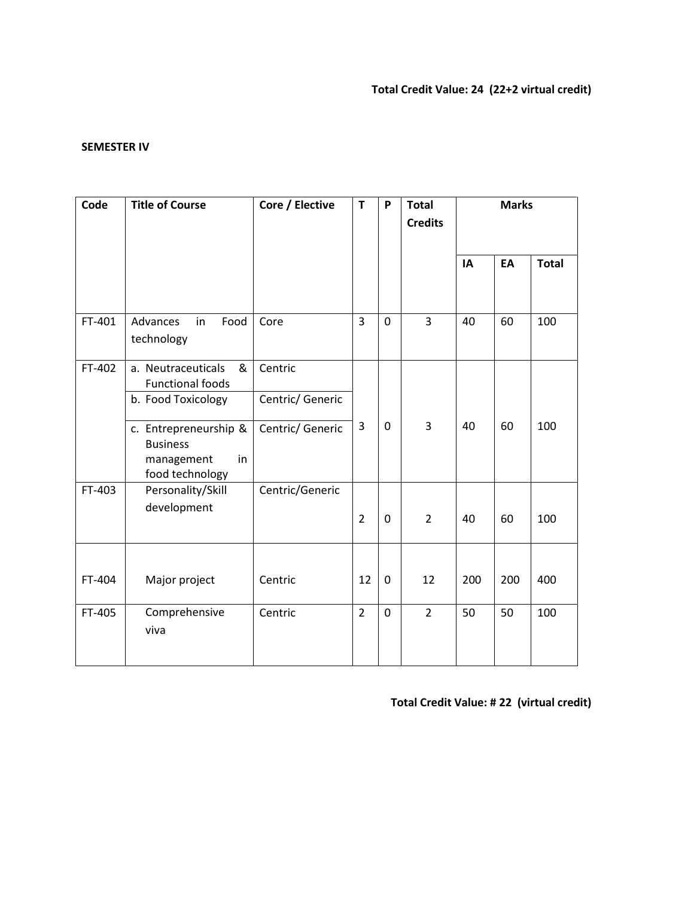#### **SEMESTER IV**

| Code   | <b>Title of Course</b>                                                          | Core / Elective             | T              | P           | <b>Total</b><br><b>Credits</b> | <b>Marks</b> |     |              |
|--------|---------------------------------------------------------------------------------|-----------------------------|----------------|-------------|--------------------------------|--------------|-----|--------------|
|        |                                                                                 |                             |                |             |                                | IA           | EA  | <b>Total</b> |
| FT-401 | Advances<br>Food<br>in<br>technology                                            | Core                        | 3              | $\mathbf 0$ | 3                              | 40           | 60  | 100          |
| FT-402 | a. Neutraceuticals<br>&<br><b>Functional foods</b><br>b. Food Toxicology        | Centric<br>Centric/ Generic |                |             |                                |              |     |              |
|        | c. Entrepreneurship &<br><b>Business</b><br>in<br>management<br>food technology | Centric/ Generic            | 3              | $\mathbf 0$ | 3                              | 40           | 60  | 100          |
| FT-403 | Personality/Skill<br>development                                                | Centric/Generic             | $\overline{2}$ | $\mathbf 0$ | $\overline{2}$                 | 40           | 60  | 100          |
| FT-404 | Major project                                                                   | Centric                     | 12             | $\mathbf 0$ | 12                             | 200          | 200 | 400          |
| FT-405 | Comprehensive<br>viva                                                           | Centric                     | $\overline{2}$ | $\mathbf 0$ | $\overline{2}$                 | 50           | 50  | 100          |

**Total Credit Value: # 22 (virtual credit)**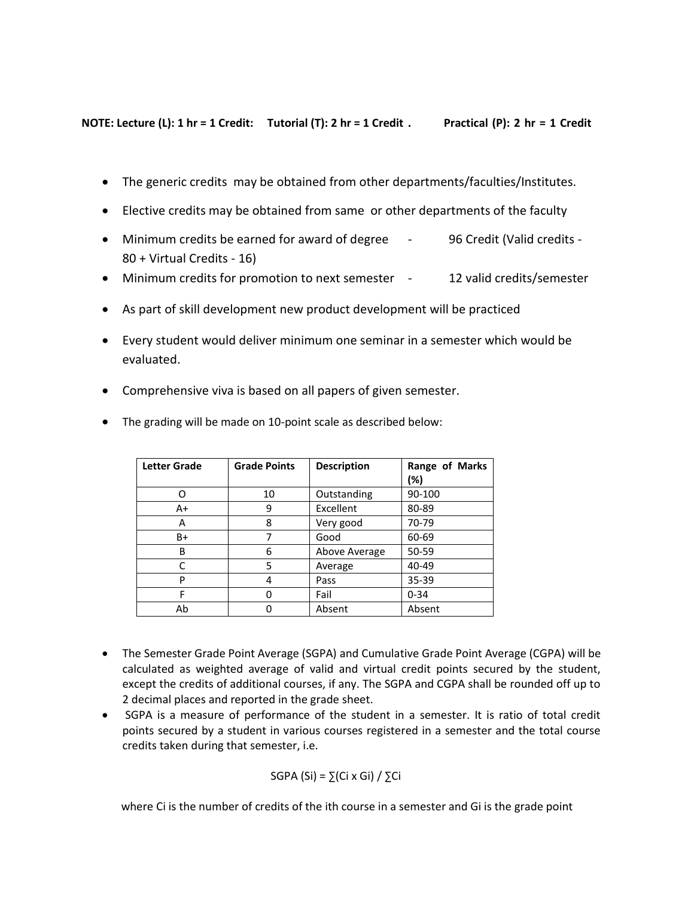**NOTE: Lecture (L): 1 hr = 1 Credit: Tutorial (T): 2 hr = 1 Credit . Practical (P): 2 hr = 1 Credit** 

- The generic credits may be obtained from other departments/faculties/Institutes.
- Elective credits may be obtained from same or other departments of the faculty
- Minimum credits be earned for award of degree 96 Credit (Valid credits -80 + Virtual Credits - 16)
- Minimum credits for promotion to next semester 12 valid credits/semester
- As part of skill development new product development will be practiced
- Every student would deliver minimum one seminar in a semester which would be evaluated.
- Comprehensive viva is based on all papers of given semester.
- The grading will be made on 10-point scale as described below:

| <b>Letter Grade</b> | <b>Grade Points</b> | <b>Description</b> | Range of Marks<br>(%) |
|---------------------|---------------------|--------------------|-----------------------|
|                     | 10                  | Outstanding        | 90-100                |
| A+                  | 9                   | Excellent          | 80-89                 |
| А                   | 8                   | Very good          | 70-79                 |
| B+                  |                     | Good               | 60-69                 |
| B                   | 6                   | Above Average      | 50-59                 |
| C                   | 5                   | Average            | 40-49                 |
| P                   | 4                   | Pass               | 35-39                 |
| F                   |                     | Fail               | $0 - 34$              |
| Ab                  |                     | Absent             | Absent                |

- The Semester Grade Point Average (SGPA) and Cumulative Grade Point Average (CGPA) will be calculated as weighted average of valid and virtual credit points secured by the student, except the credits of additional courses, if any. The SGPA and CGPA shall be rounded off up to 2 decimal places and reported in the grade sheet.
- SGPA is a measure of performance of the student in a semester. It is ratio of total credit points secured by a student in various courses registered in a semester and the total course credits taken during that semester, i.e.

SGPA (Si) = 
$$
\Sigma
$$
(Ci x Gi) /  $\Sigma$ Ci

where Ci is the number of credits of the ith course in a semester and Gi is the grade point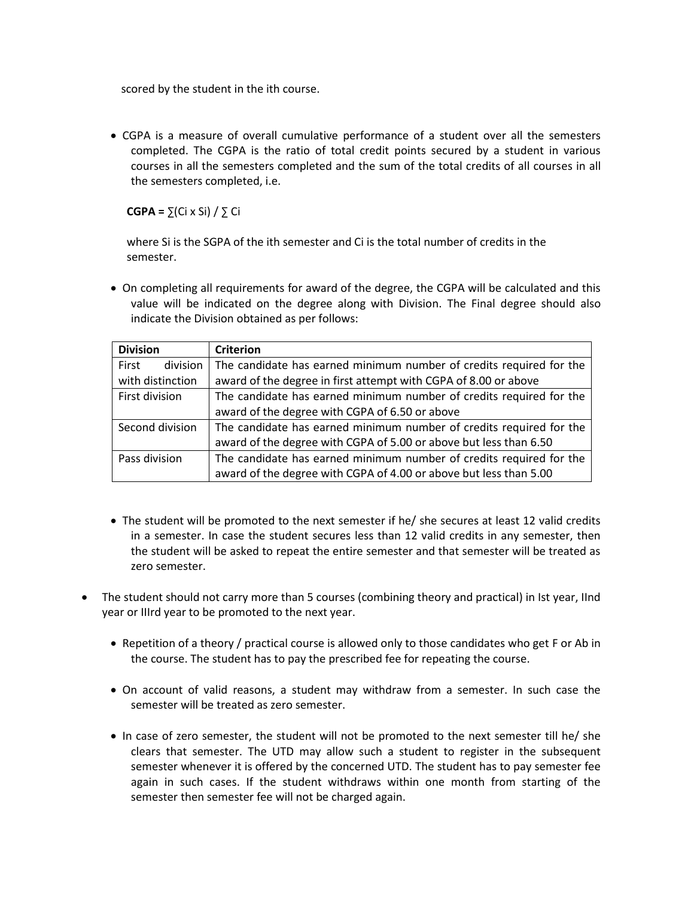scored by the student in the ith course.

 CGPA is a measure of overall cumulative performance of a student over all the semesters completed. The CGPA is the ratio of total credit points secured by a student in various courses in all the semesters completed and the sum of the total credits of all courses in all the semesters completed, i.e.

 **CGPA =** ∑(Ci x Si) / ∑ Ci

 where Si is the SGPA of the ith semester and Ci is the total number of credits in the semester.

 On completing all requirements for award of the degree, the CGPA will be calculated and this value will be indicated on the degree along with Division. The Final degree should also indicate the Division obtained as per follows:

| <b>Division</b>   | <b>Criterion</b>                                                    |  |  |  |  |  |  |
|-------------------|---------------------------------------------------------------------|--|--|--|--|--|--|
| First<br>division | The candidate has earned minimum number of credits required for the |  |  |  |  |  |  |
| with distinction  | award of the degree in first attempt with CGPA of 8.00 or above     |  |  |  |  |  |  |
| First division    | The candidate has earned minimum number of credits required for the |  |  |  |  |  |  |
|                   | award of the degree with CGPA of 6.50 or above                      |  |  |  |  |  |  |
| Second division   | The candidate has earned minimum number of credits required for the |  |  |  |  |  |  |
|                   | award of the degree with CGPA of 5.00 or above but less than 6.50   |  |  |  |  |  |  |
| Pass division     | The candidate has earned minimum number of credits required for the |  |  |  |  |  |  |
|                   | award of the degree with CGPA of 4.00 or above but less than 5.00   |  |  |  |  |  |  |

- The student will be promoted to the next semester if he/ she secures at least 12 valid credits in a semester. In case the student secures less than 12 valid credits in any semester, then the student will be asked to repeat the entire semester and that semester will be treated as zero semester.
- The student should not carry more than 5 courses (combining theory and practical) in Ist year, IInd year or IIIrd year to be promoted to the next year.
	- Repetition of a theory / practical course is allowed only to those candidates who get F or Ab in the course. The student has to pay the prescribed fee for repeating the course.
	- On account of valid reasons, a student may withdraw from a semester. In such case the semester will be treated as zero semester.
	- In case of zero semester, the student will not be promoted to the next semester till he/ she clears that semester. The UTD may allow such a student to register in the subsequent semester whenever it is offered by the concerned UTD. The student has to pay semester fee again in such cases. If the student withdraws within one month from starting of the semester then semester fee will not be charged again.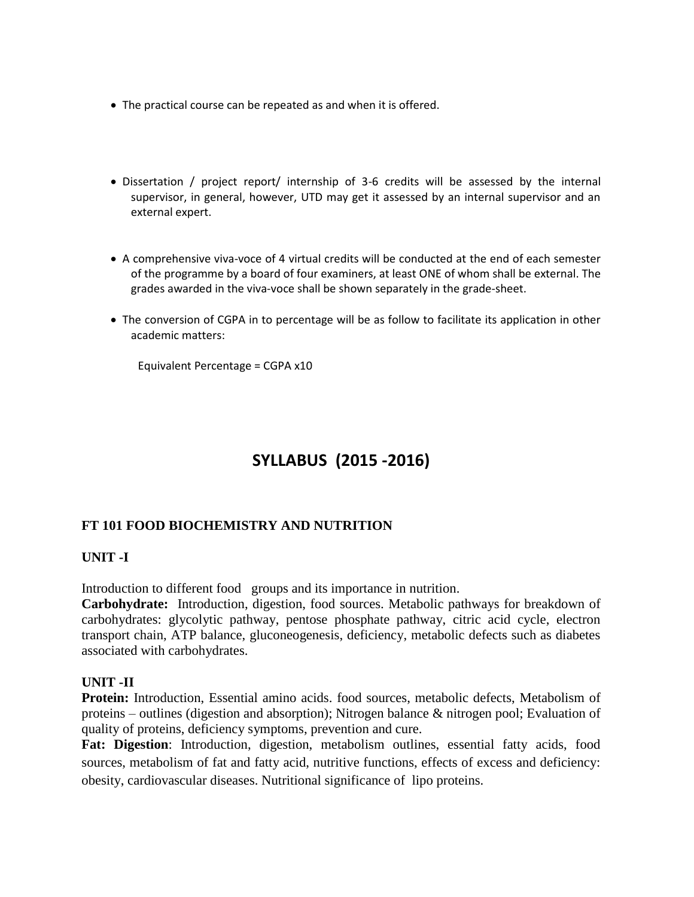- The practical course can be repeated as and when it is offered.
- Dissertation / project report/ internship of 3-6 credits will be assessed by the internal supervisor, in general, however, UTD may get it assessed by an internal supervisor and an external expert.
- A comprehensive viva-voce of 4 virtual credits will be conducted at the end of each semester of the programme by a board of four examiners, at least ONE of whom shall be external. The grades awarded in the viva-voce shall be shown separately in the grade-sheet.
- The conversion of CGPA in to percentage will be as follow to facilitate its application in other academic matters:

Equivalent Percentage = CGPA x10

# **SYLLABUS (2015 -2016)**

# **FT 101 FOOD BIOCHEMISTRY AND NUTRITION**

#### **UNIT -I**

Introduction to different food groups and its importance in nutrition.

**Carbohydrate:** Introduction, digestion, food sources. Metabolic pathways for breakdown of carbohydrates: glycolytic pathway, pentose phosphate pathway, citric acid cycle, electron transport chain, ATP balance, gluconeogenesis, deficiency, metabolic defects such as diabetes associated with carbohydrates.

#### **UNIT -II**

**Protein:** Introduction, Essential amino acids. food sources, metabolic defects, Metabolism of proteins – outlines (digestion and absorption); Nitrogen balance & nitrogen pool; Evaluation of quality of proteins, deficiency symptoms, prevention and cure.

**Fat: Digestion**: Introduction, digestion, metabolism outlines, essential fatty acids, food sources, metabolism of fat and fatty acid, nutritive functions, effects of excess and deficiency: obesity, cardiovascular diseases. Nutritional significance of lipo proteins.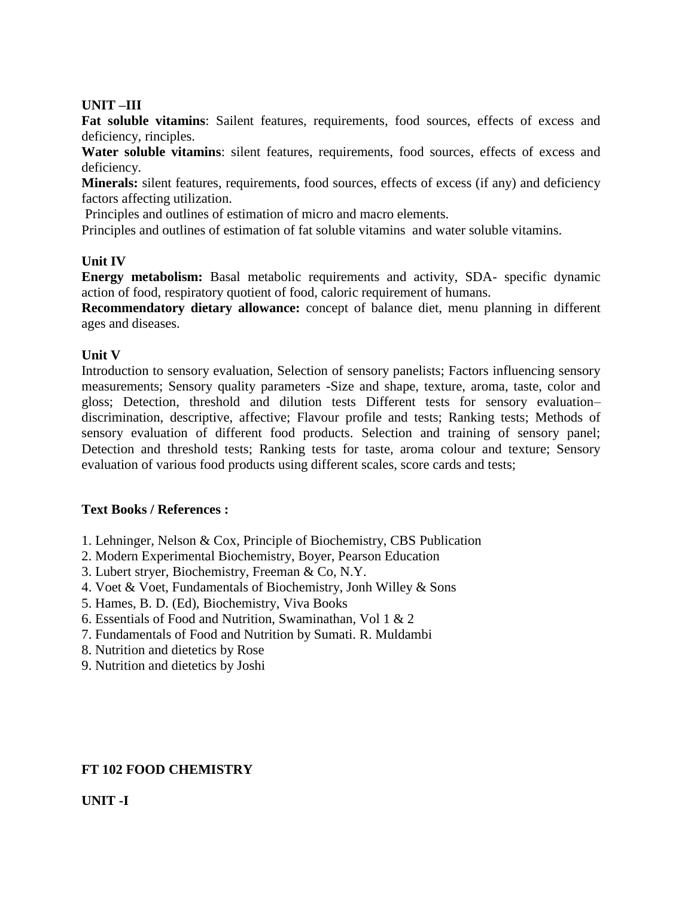#### **UNIT –III**

**Fat soluble vitamins**: Sailent features, requirements, food sources, effects of excess and deficiency, rinciples.

**Water soluble vitamins**: silent features, requirements, food sources, effects of excess and deficiency.

**Minerals:** silent features, requirements, food sources, effects of excess (if any) and deficiency factors affecting utilization.

Principles and outlines of estimation of micro and macro elements.

Principles and outlines of estimation of fat soluble vitamins and water soluble vitamins.

### **Unit IV**

**Energy metabolism:** Basal metabolic requirements and activity, SDA- specific dynamic action of food, respiratory quotient of food, caloric requirement of humans.

**Recommendatory dietary allowance:** concept of balance diet, menu planning in different ages and diseases.

### **Unit V**

Introduction to sensory evaluation, Selection of sensory panelists; Factors influencing sensory measurements; Sensory quality parameters -Size and shape, texture, aroma, taste, color and gloss; Detection, threshold and dilution tests Different tests for sensory evaluation– discrimination, descriptive, affective; Flavour profile and tests; Ranking tests; Methods of sensory evaluation of different food products. Selection and training of sensory panel; Detection and threshold tests; Ranking tests for taste, aroma colour and texture; Sensory evaluation of various food products using different scales, score cards and tests;

#### **Text Books / References :**

- 1. Lehninger, Nelson & Cox, Principle of Biochemistry, CBS Publication
- 2. Modern Experimental Biochemistry, Boyer, Pearson Education
- 3. Lubert stryer, Biochemistry, Freeman & Co, N.Y.
- 4. Voet & Voet, Fundamentals of Biochemistry, Jonh Willey & Sons
- 5. Hames, B. D. (Ed), Biochemistry, Viva Books
- 6. Essentials of Food and Nutrition, Swaminathan, Vol 1 & 2
- 7. Fundamentals of Food and Nutrition by Sumati. R. Muldambi
- 8. Nutrition and dietetics by Rose
- 9. Nutrition and dietetics by Joshi

#### **FT 102 FOOD CHEMISTRY**

# **UNIT -I**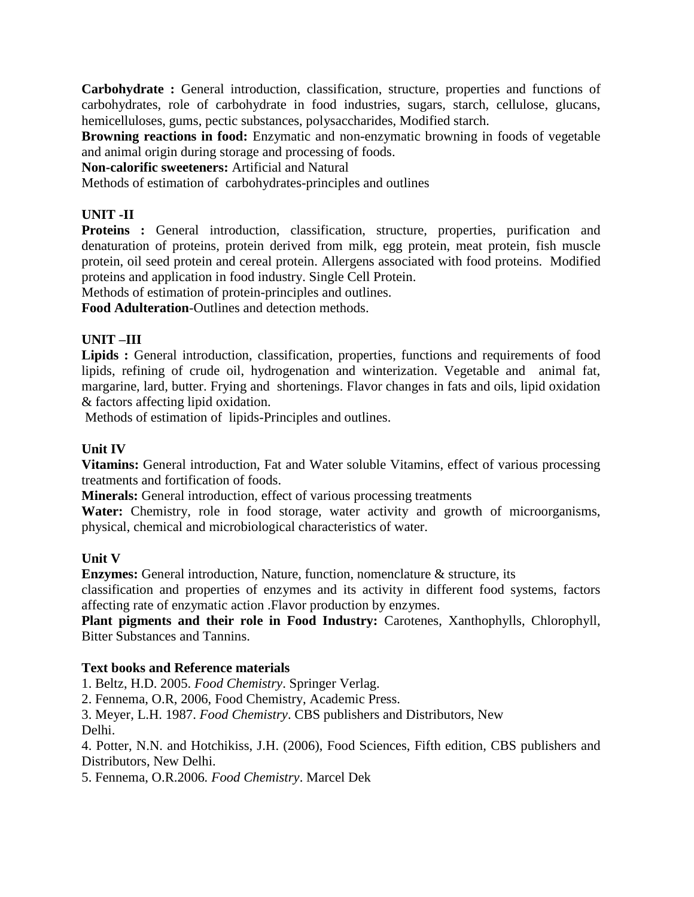**Carbohydrate :** General introduction, classification, structure, properties and functions of carbohydrates, role of carbohydrate in food industries, sugars, starch, cellulose, glucans, hemicelluloses, gums, pectic substances, polysaccharides, Modified starch.

**Browning reactions in food:** Enzymatic and non-enzymatic browning in foods of vegetable and animal origin during storage and processing of foods.

**Non-calorific sweeteners:** Artificial and Natural

Methods of estimation of carbohydrates-principles and outlines

# **UNIT -II**

**Proteins :** General introduction, classification, structure, properties, purification and denaturation of proteins, protein derived from milk, egg protein, meat protein, fish muscle protein, oil seed protein and cereal protein. Allergens associated with food proteins. Modified proteins and application in food industry. Single Cell Protein.

Methods of estimation of protein-principles and outlines.

**Food Adulteration**-Outlines and detection methods.

# **UNIT –III**

**Lipids :** General introduction, classification, properties, functions and requirements of food lipids, refining of crude oil, hydrogenation and winterization. Vegetable and animal fat, margarine, lard, butter. Frying and shortenings. Flavor changes in fats and oils, lipid oxidation & factors affecting lipid oxidation.

Methods of estimation of lipids-Principles and outlines.

# **Unit IV**

**Vitamins:** General introduction, Fat and Water soluble Vitamins, effect of various processing treatments and fortification of foods.

**Minerals:** General introduction, effect of various processing treatments

Water: Chemistry, role in food storage, water activity and growth of microorganisms, physical, chemical and microbiological characteristics of water.

# **Unit V**

**Enzymes:** General introduction, Nature, function, nomenclature & structure, its

classification and properties of enzymes and its activity in different food systems, factors affecting rate of enzymatic action .Flavor production by enzymes.

**Plant pigments and their role in Food Industry:** Carotenes, Xanthophylls, Chlorophyll, Bitter Substances and Tannins.

#### **Text books and Reference materials**

1. Beltz, H.D. 2005. *Food Chemistry*. Springer Verlag.

2. Fennema, O.R, 2006, Food Chemistry, Academic Press.

3. Meyer, L.H. 1987. *Food Chemistry*. CBS publishers and Distributors, New Delhi.

4. Potter, N.N. and Hotchikiss, J.H. (2006), Food Sciences, Fifth edition, CBS publishers and Distributors, New Delhi.

5. Fennema, O.R.2006*. Food Chemistry*. Marcel Dek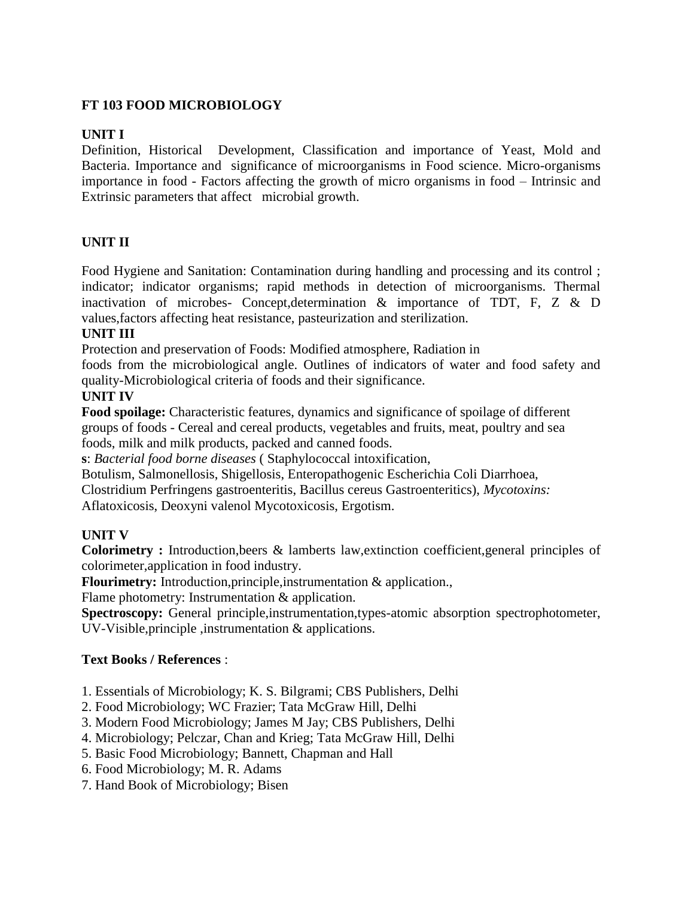# **FT 103 FOOD MICROBIOLOGY**

## **UNIT I**

Definition, Historical Development, Classification and importance of Yeast, Mold and Bacteria. Importance and significance of microorganisms in Food science. Micro-organisms importance in food - Factors affecting the growth of micro organisms in food – Intrinsic and Extrinsic parameters that affect microbial growth.

# **UNIT II**

Food Hygiene and Sanitation: Contamination during handling and processing and its control ; indicator; indicator organisms; rapid methods in detection of microorganisms. Thermal inactivation of microbes- Concept,determination & importance of TDT, F, Z & D values,factors affecting heat resistance, pasteurization and sterilization.

#### **UNIT III**

Protection and preservation of Foods: Modified atmosphere, Radiation in

foods from the microbiological angle. Outlines of indicators of water and food safety and quality-Microbiological criteria of foods and their significance.

#### **UNIT IV**

**Food spoilage:** Characteristic features, dynamics and significance of spoilage of different groups of foods - Cereal and cereal products, vegetables and fruits, meat, poultry and sea foods, milk and milk products, packed and canned foods.

**s**: *Bacterial food borne diseases* ( Staphylococcal intoxification,

Botulism, Salmonellosis, Shigellosis, Enteropathogenic Escherichia Coli Diarrhoea,

Clostridium Perfringens gastroenteritis, Bacillus cereus Gastroenteritics), *Mycotoxins:*

Aflatoxicosis, Deoxyni valenol Mycotoxicosis, Ergotism.

# **UNIT V**

**Colorimetry :** Introduction,beers & lamberts law,extinction coefficient,general principles of colorimeter,application in food industry.

**Flourimetry:** Introduction,principle,instrumentation & application.,

Flame photometry: Instrumentation & application.

**Spectroscopy:** General principle,instrumentation,types-atomic absorption spectrophotometer, UV-Visible,principle ,instrumentation & applications.

# **Text Books / References** :

- 1. Essentials of Microbiology; K. S. Bilgrami; CBS Publishers, Delhi
- 2. Food Microbiology; WC Frazier; Tata McGraw Hill, Delhi
- 3. Modern Food Microbiology; James M Jay; CBS Publishers, Delhi
- 4. Microbiology; Pelczar, Chan and Krieg; Tata McGraw Hill, Delhi
- 5. Basic Food Microbiology; Bannett, Chapman and Hall
- 6. Food Microbiology; M. R. Adams
- 7. Hand Book of Microbiology; Bisen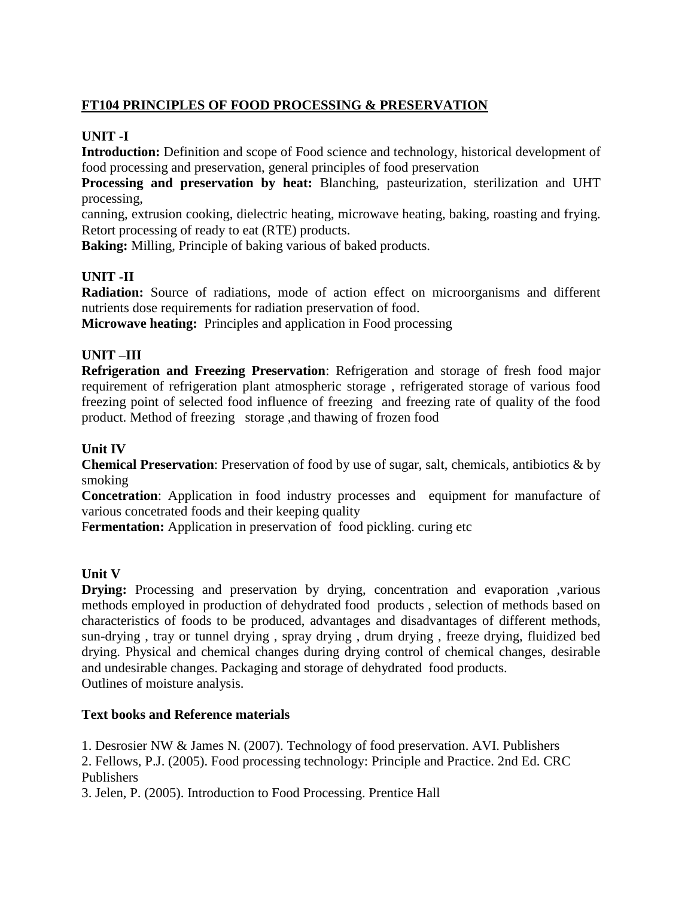# **FT104 PRINCIPLES OF FOOD PROCESSING & PRESERVATION**

## **UNIT -I**

**Introduction:** Definition and scope of Food science and technology, historical development of food processing and preservation, general principles of food preservation

**Processing and preservation by heat:** Blanching, pasteurization, sterilization and UHT processing,

canning, extrusion cooking, dielectric heating, microwave heating, baking, roasting and frying. Retort processing of ready to eat (RTE) products.

**Baking:** Milling, Principle of baking various of baked products.

# **UNIT -II**

**Radiation:** Source of radiations, mode of action effect on microorganisms and different nutrients dose requirements for radiation preservation of food.

**Microwave heating:** Principles and application in Food processing

# **UNIT –III**

**Refrigeration and Freezing Preservation**: Refrigeration and storage of fresh food major requirement of refrigeration plant atmospheric storage , refrigerated storage of various food freezing point of selected food influence of freezing and freezing rate of quality of the food product. Method of freezing storage ,and thawing of frozen food

### **Unit IV**

**Chemical Preservation**: Preservation of food by use of sugar, salt, chemicals, antibiotics & by smoking

**Concetration**: Application in food industry processes and equipment for manufacture of various concetrated foods and their keeping quality

Fermentation: Application in preservation of food pickling. curing etc

#### **Unit V**

**Drying:** Processing and preservation by drying, concentration and evaporation ,various methods employed in production of dehydrated food products , selection of methods based on characteristics of foods to be produced, advantages and disadvantages of different methods, sun-drying , tray or tunnel drying , spray drying , drum drying , freeze drying, fluidized bed drying. Physical and chemical changes during drying control of chemical changes, desirable and undesirable changes. Packaging and storage of dehydrated food products. Outlines of moisture analysis.

#### **Text books and Reference materials**

1. Desrosier NW & James N. (2007). Technology of food preservation. AVI. Publishers

2. Fellows, P.J. (2005). Food processing technology: Principle and Practice. 2nd Ed. CRC Publishers

3. Jelen, P. (2005). Introduction to Food Processing. Prentice Hall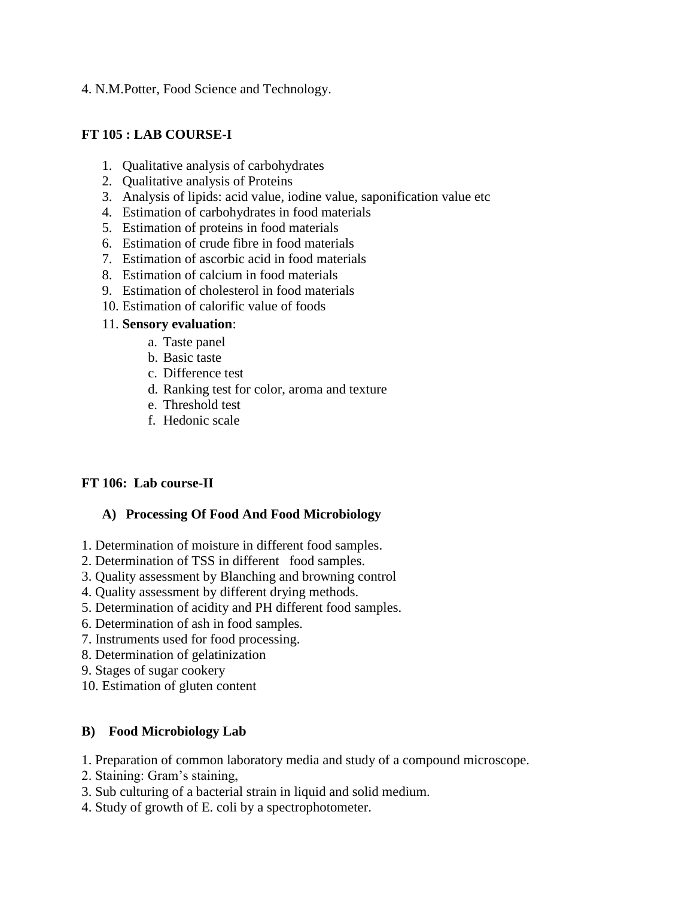4. N.M.Potter, Food Science and Technology.

## **FT 105 : LAB COURSE-I**

- 1. Qualitative analysis of carbohydrates
- 2. Qualitative analysis of Proteins
- 3. Analysis of lipids: acid value, iodine value, saponification value etc
- 4. Estimation of carbohydrates in food materials
- 5. Estimation of proteins in food materials
- 6. Estimation of crude fibre in food materials
- 7. Estimation of ascorbic acid in food materials
- 8. Estimation of calcium in food materials
- 9. Estimation of cholesterol in food materials
- 10. Estimation of calorific value of foods

#### 11. **Sensory evaluation**:

- a. Taste panel
- b. Basic taste
- c. Difference test
- d. Ranking test for color, aroma and texture
- e. Threshold test
- f. Hedonic scale

# **FT 106: Lab course-II**

# **A) Processing Of Food And Food Microbiology**

- 1. Determination of moisture in different food samples.
- 2. Determination of TSS in different food samples.
- 3. Quality assessment by Blanching and browning control
- 4. Quality assessment by different drying methods.
- 5. Determination of acidity and PH different food samples.
- 6. Determination of ash in food samples.
- 7. Instruments used for food processing.
- 8. Determination of gelatinization
- 9. Stages of sugar cookery
- 10. Estimation of gluten content

# **B) Food Microbiology Lab**

- 1. Preparation of common laboratory media and study of a compound microscope.
- 2. Staining: Gram's staining,
- 3. Sub culturing of a bacterial strain in liquid and solid medium.
- 4. Study of growth of E. coli by a spectrophotometer.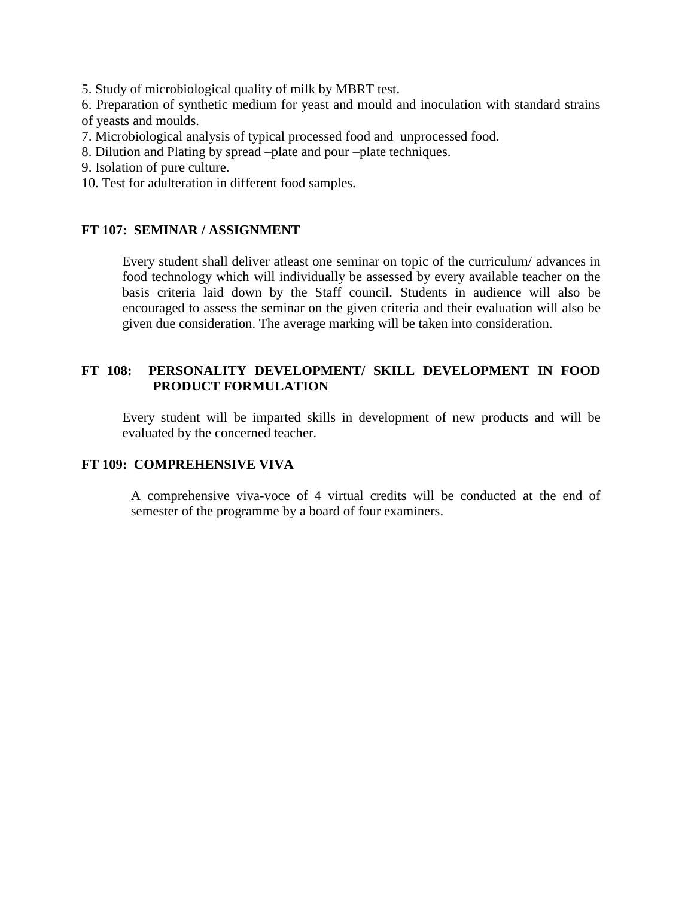5. Study of microbiological quality of milk by MBRT test.

6. Preparation of synthetic medium for yeast and mould and inoculation with standard strains of yeasts and moulds.

- 7. Microbiological analysis of typical processed food and unprocessed food.
- 8. Dilution and Plating by spread –plate and pour –plate techniques.
- 9. Isolation of pure culture.
- 10. Test for adulteration in different food samples.

### **FT 107: SEMINAR / ASSIGNMENT**

Every student shall deliver atleast one seminar on topic of the curriculum/ advances in food technology which will individually be assessed by every available teacher on the basis criteria laid down by the Staff council. Students in audience will also be encouraged to assess the seminar on the given criteria and their evaluation will also be given due consideration. The average marking will be taken into consideration.

### **FT 108: PERSONALITY DEVELOPMENT/ SKILL DEVELOPMENT IN FOOD PRODUCT FORMULATION**

Every student will be imparted skills in development of new products and will be evaluated by the concerned teacher.

# **FT 109: COMPREHENSIVE VIVA**

A comprehensive viva-voce of 4 virtual credits will be conducted at the end of semester of the programme by a board of four examiners.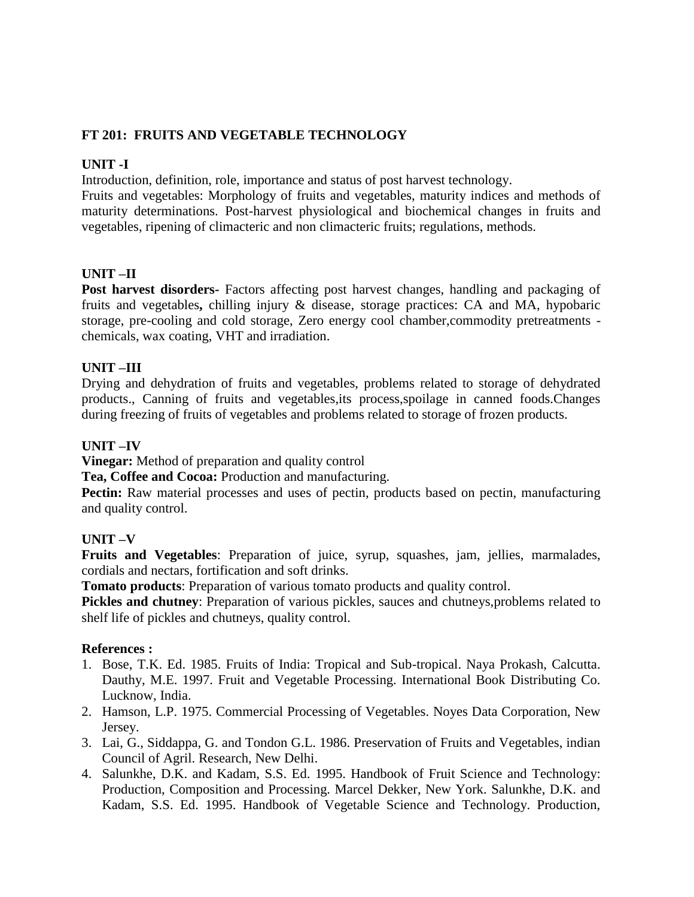# **FT 201: FRUITS AND VEGETABLE TECHNOLOGY**

#### **UNIT -I**

Introduction, definition, role, importance and status of post harvest technology.

Fruits and vegetables: Morphology of fruits and vegetables, maturity indices and methods of maturity determinations. Post-harvest physiological and biochemical changes in fruits and vegetables, ripening of climacteric and non climacteric fruits; regulations, methods.

#### **UNIT –II**

**Post harvest disorders-** Factors affecting post harvest changes, handling and packaging of fruits and vegetables**,** chilling injury & disease, storage practices: CA and MA, hypobaric storage, pre-cooling and cold storage, Zero energy cool chamber,commodity pretreatments chemicals, wax coating, VHT and irradiation.

### **UNIT –III**

Drying and dehydration of fruits and vegetables, problems related to storage of dehydrated products., Canning of fruits and vegetables,its process,spoilage in canned foods.Changes during freezing of fruits of vegetables and problems related to storage of frozen products.

#### **UNIT –IV**

**Vinegar:** Method of preparation and quality control

**Tea, Coffee and Cocoa:** Production and manufacturing.

**Pectin:** Raw material processes and uses of pectin, products based on pectin, manufacturing and quality control.

#### **UNIT –V**

**Fruits and Vegetables**: Preparation of juice, syrup, squashes, jam, jellies, marmalades, cordials and nectars, fortification and soft drinks.

**Tomato products**: Preparation of various tomato products and quality control.

**Pickles and chutney**: Preparation of various pickles, sauces and chutneys,problems related to shelf life of pickles and chutneys, quality control.

#### **References :**

- 1. Bose, T.K. Ed. 1985. Fruits of India: Tropical and Sub-tropical. Naya Prokash, Calcutta. Dauthy, M.E. 1997. Fruit and Vegetable Processing. International Book Distributing Co. Lucknow, India.
- 2. Hamson, L.P. 1975. Commercial Processing of Vegetables. Noyes Data Corporation, New Jersey.
- 3. Lai, G., Siddappa, G. and Tondon G.L. 1986. Preservation of Fruits and Vegetables, indian Council of Agril. Research, New Delhi.
- 4. Salunkhe, D.K. and Kadam, S.S. Ed. 1995. Handbook of Fruit Science and Technology: Production, Composition and Processing. Marcel Dekker, New York. Salunkhe, D.K. and Kadam, S.S. Ed. 1995. Handbook of Vegetable Science and Technology. Production,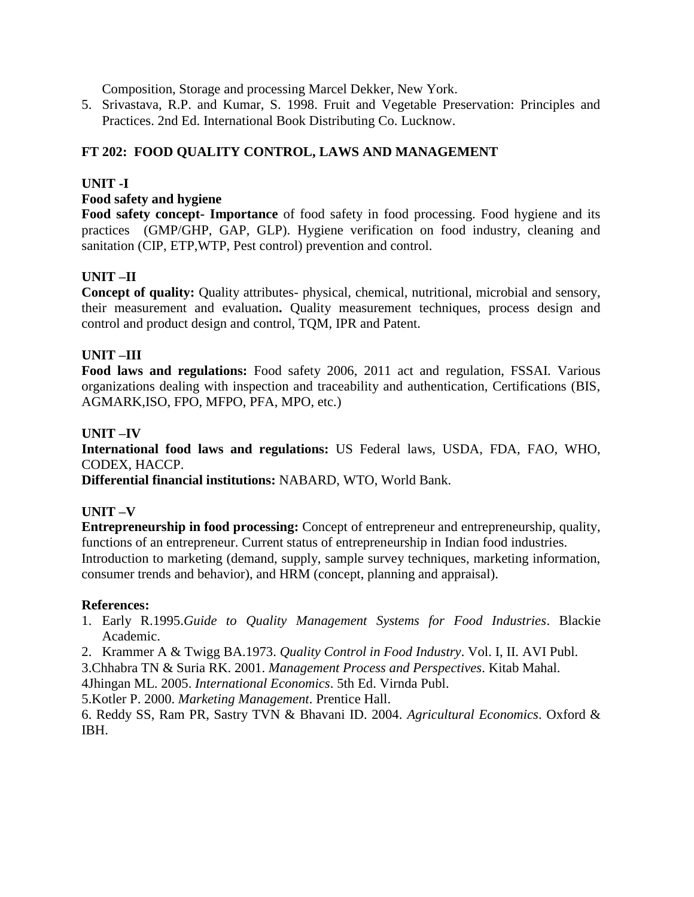Composition, Storage and processing Marcel Dekker, New York.

5. Srivastava, R.P. and Kumar, S. 1998. Fruit and Vegetable Preservation: Principles and Practices. 2nd Ed. International Book Distributing Co. Lucknow.

# **FT 202: FOOD QUALITY CONTROL, LAWS AND MANAGEMENT**

## **UNIT -I**

#### **Food safety and hygiene**

**Food safety concept- Importance** of food safety in food processing. Food hygiene and its practices (GMP/GHP, GAP, GLP). Hygiene verification on food industry, cleaning and sanitation (CIP, ETP,WTP, Pest control) prevention and control.

# **UNIT –II**

**Concept of quality:** Quality attributes- physical, chemical, nutritional, microbial and sensory, their measurement and evaluation**.** Quality measurement techniques, process design and control and product design and control, TQM, IPR and Patent.

### **UNIT –III**

**Food laws and regulations:** Food safety 2006, 2011 act and regulation, FSSAI. Various organizations dealing with inspection and traceability and authentication, Certifications (BIS, AGMARK,ISO, FPO, MFPO, PFA, MPO, etc.)

### **UNIT –IV**

**International food laws and regulations:** US Federal laws, USDA, FDA, FAO, WHO, CODEX, HACCP.

**Differential financial institutions:** NABARD, WTO, World Bank.

#### **UNIT –V**

**Entrepreneurship in food processing:** Concept of entrepreneur and entrepreneurship, quality, functions of an entrepreneur. Current status of entrepreneurship in Indian food industries. Introduction to marketing (demand, supply, sample survey techniques, marketing information, consumer trends and behavior), and HRM (concept, planning and appraisal).

#### **References:**

- 1. Early R.1995.*Guide to Quality Management Systems for Food Industries*. Blackie Academic.
- 2. Krammer A & Twigg BA.1973. *Quality Control in Food Industry*. Vol. I, II. AVI Publ.

3.Chhabra TN & Suria RK. 2001. *Management Process and Perspectives*. Kitab Mahal.

4Jhingan ML. 2005. *International Economics*. 5th Ed. Virnda Publ.

5.Kotler P. 2000. *Marketing Management*. Prentice Hall.

6. Reddy SS, Ram PR, Sastry TVN & Bhavani ID. 2004. *Agricultural Economics*. Oxford & IBH.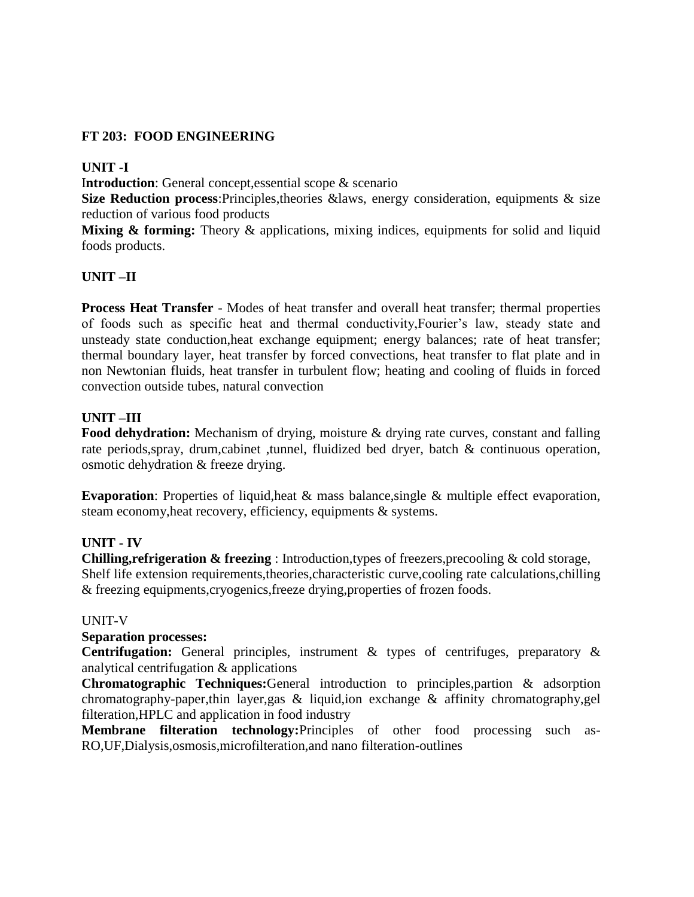# **FT 203: FOOD ENGINEERING**

# **UNIT -I**

I**ntroduction**: General concept,essential scope & scenario

**Size Reduction process:**Principles,theories &laws, energy consideration, equipments & size reduction of various food products

Mixing & forming: Theory & applications, mixing indices, equipments for solid and liquid foods products.

# **UNIT –II**

**Process Heat Transfer** - Modes of heat transfer and overall heat transfer; thermal properties of foods such as specific heat and thermal conductivity,Fourier's law, steady state and unsteady state conduction,heat exchange equipment; energy balances; rate of heat transfer; thermal boundary layer, heat transfer by forced convections, heat transfer to flat plate and in non Newtonian fluids, heat transfer in turbulent flow; heating and cooling of fluids in forced convection outside tubes, natural convection

# **UNIT –III**

Food dehydration: Mechanism of drying, moisture & drying rate curves, constant and falling rate periods,spray, drum,cabinet ,tunnel, fluidized bed dryer, batch & continuous operation, osmotic dehydration & freeze drying.

**Evaporation**: Properties of liquid,heat & mass balance,single & multiple effect evaporation, steam economy,heat recovery, efficiency, equipments & systems.

# **UNIT - IV**

**Chilling,refrigeration & freezing** : Introduction,types of freezers,precooling & cold storage, Shelf life extension requirements,theories,characteristic curve,cooling rate calculations,chilling & freezing equipments,cryogenics,freeze drying,properties of frozen foods.

# UNIT-V

# **Separation processes:**

**Centrifugation:** General principles, instrument & types of centrifuges, preparatory & analytical centrifugation & applications

**Chromatographic Techniques:**General introduction to principles,partion & adsorption chromatography-paper,thin layer,gas & liquid,ion exchange & affinity chromatography,gel filteration,HPLC and application in food industry

**Membrane filteration technology:**Principles of other food processing such as-RO,UF,Dialysis,osmosis,microfilteration,and nano filteration-outlines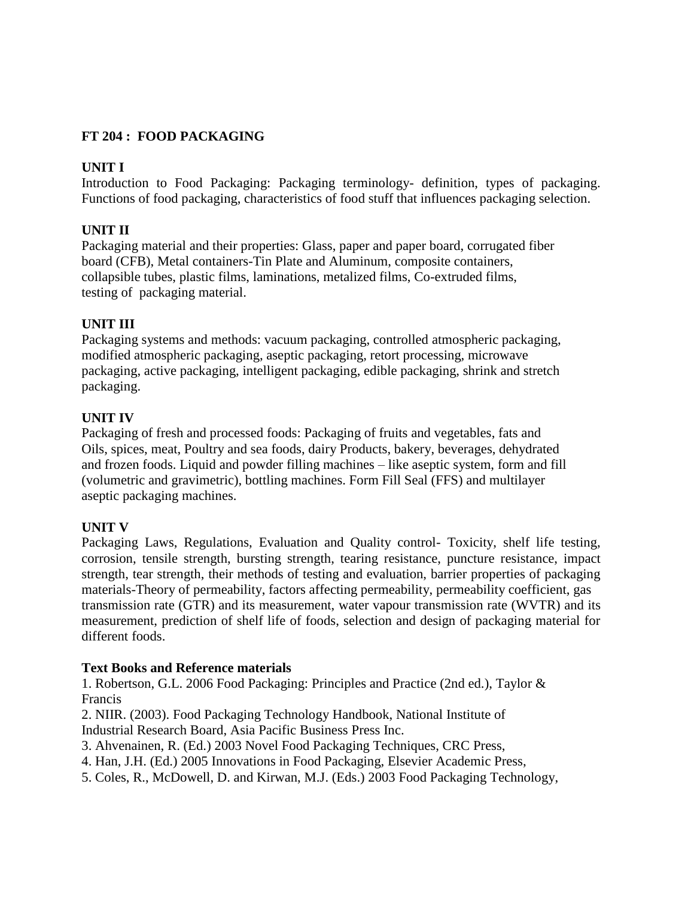# **FT 204 : FOOD PACKAGING**

# **UNIT I**

Introduction to Food Packaging: Packaging terminology- definition, types of packaging. Functions of food packaging, characteristics of food stuff that influences packaging selection.

# **UNIT II**

Packaging material and their properties: Glass, paper and paper board, corrugated fiber board (CFB), Metal containers-Tin Plate and Aluminum, composite containers, collapsible tubes, plastic films, laminations, metalized films, Co-extruded films, testing of packaging material.

# **UNIT III**

Packaging systems and methods: vacuum packaging, controlled atmospheric packaging, modified atmospheric packaging, aseptic packaging, retort processing, microwave packaging, active packaging, intelligent packaging, edible packaging, shrink and stretch packaging.

# **UNIT IV**

Packaging of fresh and processed foods: Packaging of fruits and vegetables, fats and Oils, spices, meat, Poultry and sea foods, dairy Products, bakery, beverages, dehydrated and frozen foods. Liquid and powder filling machines – like aseptic system, form and fill (volumetric and gravimetric), bottling machines. Form Fill Seal (FFS) and multilayer aseptic packaging machines.

# **UNIT V**

Packaging Laws, Regulations, Evaluation and Quality control- Toxicity, shelf life testing, corrosion, tensile strength, bursting strength, tearing resistance, puncture resistance, impact strength, tear strength, their methods of testing and evaluation, barrier properties of packaging materials-Theory of permeability, factors affecting permeability, permeability coefficient, gas transmission rate (GTR) and its measurement, water vapour transmission rate (WVTR) and its measurement, prediction of shelf life of foods, selection and design of packaging material for different foods.

# **Text Books and Reference materials**

1. Robertson, G.L. 2006 Food Packaging: Principles and Practice (2nd ed.), Taylor & Francis

2. NIIR. (2003). Food Packaging Technology Handbook, National Institute of Industrial Research Board, Asia Pacific Business Press Inc.

3. Ahvenainen, R. (Ed.) 2003 Novel Food Packaging Techniques, CRC Press,

- 4. Han, J.H. (Ed.) 2005 Innovations in Food Packaging, Elsevier Academic Press,
- 5. Coles, R., McDowell, D. and Kirwan, M.J. (Eds.) 2003 Food Packaging Technology,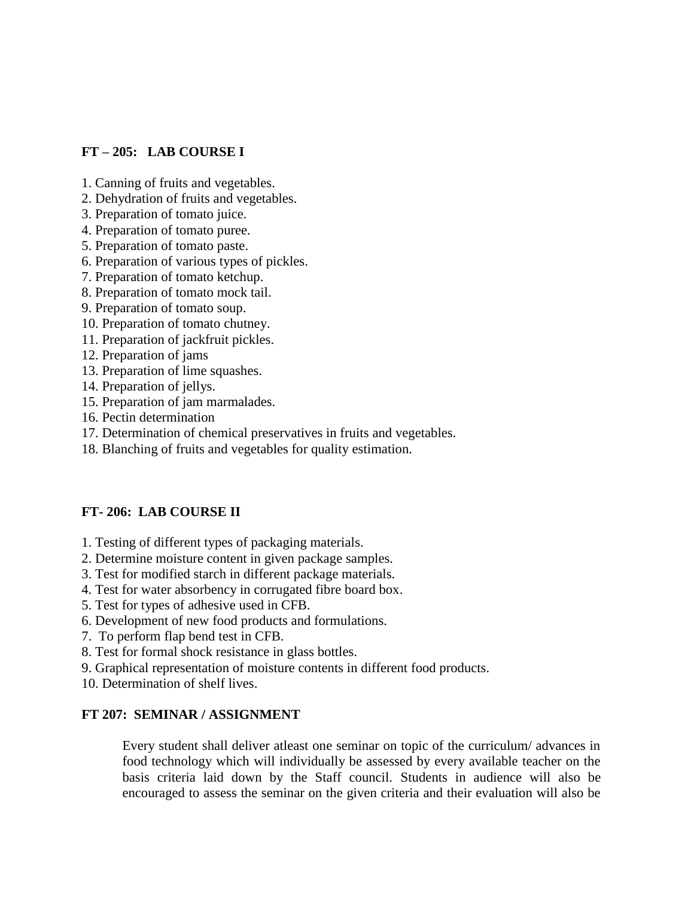### **FT – 205: LAB COURSE I**

- 1. Canning of fruits and vegetables.
- 2. Dehydration of fruits and vegetables.
- 3. Preparation of tomato juice.
- 4. Preparation of tomato puree.
- 5. Preparation of tomato paste.
- 6. Preparation of various types of pickles.
- 7. Preparation of tomato ketchup.
- 8. Preparation of tomato mock tail.
- 9. Preparation of tomato soup.
- 10. Preparation of tomato chutney.
- 11. Preparation of jackfruit pickles.
- 12. Preparation of jams
- 13. Preparation of lime squashes.
- 14. Preparation of jellys.
- 15. Preparation of jam marmalades.
- 16. Pectin determination
- 17. Determination of chemical preservatives in fruits and vegetables.
- 18. Blanching of fruits and vegetables for quality estimation.

#### **FT- 206: LAB COURSE II**

- 1. Testing of different types of packaging materials.
- 2. Determine moisture content in given package samples.
- 3. Test for modified starch in different package materials.
- 4. Test for water absorbency in corrugated fibre board box.
- 5. Test for types of adhesive used in CFB.
- 6. Development of new food products and formulations.
- 7. To perform flap bend test in CFB.
- 8. Test for formal shock resistance in glass bottles.
- 9. Graphical representation of moisture contents in different food products.
- 10. Determination of shelf lives.

#### **FT 207: SEMINAR / ASSIGNMENT**

Every student shall deliver atleast one seminar on topic of the curriculum/ advances in food technology which will individually be assessed by every available teacher on the basis criteria laid down by the Staff council. Students in audience will also be encouraged to assess the seminar on the given criteria and their evaluation will also be